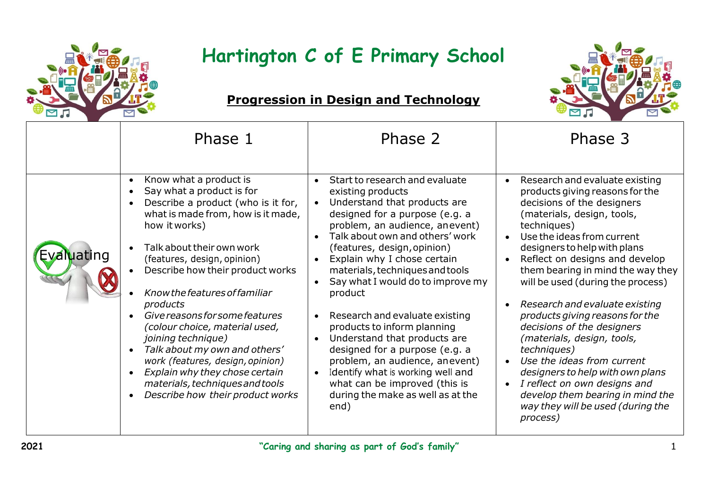

## **Hartington C of E Primary School**



## **Progression in Design and Technology**

|        | Phase 1                                                                                                                                                                                                                                                                                                                                                                                                                                                                                                                                                                      | Phase 2                                                                                                                                                                                                                                                                                                                                                                                                                                                                                                                                                                                                                                                                                              | Phase 3                                                                                                                                                                                                                                                                                                                                                                                                                                                                                                                                                                                                                                                                                                                                |
|--------|------------------------------------------------------------------------------------------------------------------------------------------------------------------------------------------------------------------------------------------------------------------------------------------------------------------------------------------------------------------------------------------------------------------------------------------------------------------------------------------------------------------------------------------------------------------------------|------------------------------------------------------------------------------------------------------------------------------------------------------------------------------------------------------------------------------------------------------------------------------------------------------------------------------------------------------------------------------------------------------------------------------------------------------------------------------------------------------------------------------------------------------------------------------------------------------------------------------------------------------------------------------------------------------|----------------------------------------------------------------------------------------------------------------------------------------------------------------------------------------------------------------------------------------------------------------------------------------------------------------------------------------------------------------------------------------------------------------------------------------------------------------------------------------------------------------------------------------------------------------------------------------------------------------------------------------------------------------------------------------------------------------------------------------|
| iating | Know what a product is<br>Say what a product is for<br>Describe a product (who is it for,<br>what is made from, how is it made,<br>how it works)<br>Talk about their own work<br>(features, design, opinion)<br>Describe how their product works<br>Know the features of familiar<br>products<br>Give reasons for some features<br>(colour choice, material used,<br><i>joining technique)</i><br>Talk about my own and others'<br>work (features, design, opinion)<br>Explain why they chose certain<br>materials, techniques and tools<br>Describe how their product works | Start to research and evaluate<br>$\bullet$<br>existing products<br>Understand that products are<br>designed for a purpose (e.g. a<br>problem, an audience, anevent)<br>Talk about own and others' work<br>(features, design, opinion)<br>Explain why I chose certain<br>$\bullet$<br>materials, techniques and tools<br>Say what I would do to improve my<br>$\bullet$<br>product<br>Research and evaluate existing<br>$\bullet$<br>products to inform planning<br>Understand that products are<br>$\bullet$<br>designed for a purpose (e.g. a<br>problem, an audience, anevent)<br>Identify what is working well and<br>what can be improved (this is<br>during the make as well as at the<br>end) | Research and evaluate existing<br>$\bullet$<br>products giving reasons for the<br>decisions of the designers<br>(materials, design, tools,<br>techniques)<br>Use the ideas from current<br>$\bullet$<br>designers to help with plans<br>Reflect on designs and develop<br>$\bullet$<br>them bearing in mind the way they<br>will be used (during the process)<br>Research and evaluate existing<br>products giving reasons for the<br>decisions of the designers<br>(materials, design, tools,<br><i>techniques</i> )<br>Use the ideas from current<br>$\bullet$<br>designers to help with own plans<br>I reflect on own designs and<br>$\bullet$<br>develop them bearing in mind the<br>way they will be used (during the<br>process) |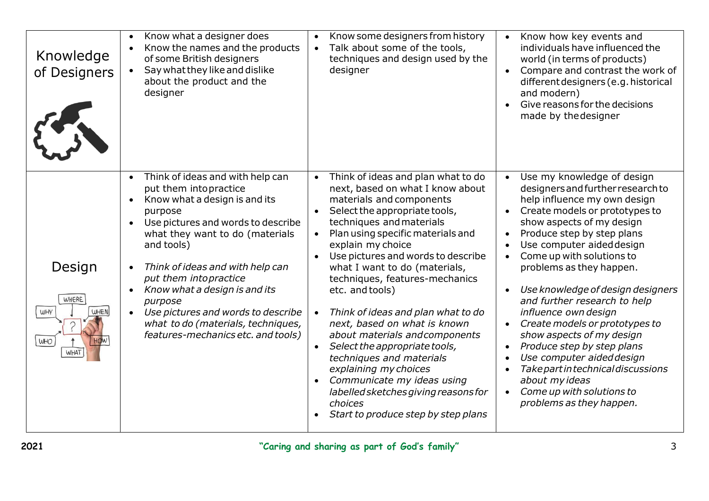| Knowledge<br>of Designers                    | Know what a designer does<br>Know the names and the products<br>of some British designers<br>Say what they like and dislike<br>about the product and the<br>designer                                                                                                                                                                                                                                                                                | Know some designers from history<br>Talk about some of the tools,<br>techniques and design used by the<br>designer                                                                                                                                                                                                                                                                                                                                                                                                                                                                                                                                                          | Know how key events and<br>$\bullet$<br>individuals have influenced the<br>world (in terms of products)<br>Compare and contrast the work of<br>$\bullet$<br>different designers (e.g. historical<br>and modern)<br>Give reasons for the decisions<br>made by the designer                                                                                                                                                                                                                                                                                                                                                                                                                                                                       |
|----------------------------------------------|-----------------------------------------------------------------------------------------------------------------------------------------------------------------------------------------------------------------------------------------------------------------------------------------------------------------------------------------------------------------------------------------------------------------------------------------------------|-----------------------------------------------------------------------------------------------------------------------------------------------------------------------------------------------------------------------------------------------------------------------------------------------------------------------------------------------------------------------------------------------------------------------------------------------------------------------------------------------------------------------------------------------------------------------------------------------------------------------------------------------------------------------------|-------------------------------------------------------------------------------------------------------------------------------------------------------------------------------------------------------------------------------------------------------------------------------------------------------------------------------------------------------------------------------------------------------------------------------------------------------------------------------------------------------------------------------------------------------------------------------------------------------------------------------------------------------------------------------------------------------------------------------------------------|
| Design<br>WHERE<br>WHY<br><b>WHEN</b><br>WHO | Think of ideas and with help can<br>put them into practice<br>Know what a design is and its<br>$\bullet$<br>purpose<br>Use pictures and words to describe<br>what they want to do (materials<br>and tools)<br>Think of ideas and with help can<br>put them into practice<br>Know what a design is and its<br>purpose<br>Use pictures and words to describe<br>$\bullet$<br>what to do (materials, techniques,<br>features-mechanics etc. and tools) | Think of ideas and plan what to do<br>next, based on what I know about<br>materials and components<br>Select the appropriate tools,<br>techniques and materials<br>Plan using specific materials and<br>explain my choice<br>Use pictures and words to describe<br>what I want to do (materials,<br>techniques, features-mechanics<br>etc. and tools)<br>Think of ideas and plan what to do<br>next, based on what is known<br>about materials and components<br>Select the appropriate tools,<br>techniques and materials<br>explaining my choices<br>Communicate my ideas using<br>labelled sketches giving reasons for<br>choices<br>Start to produce step by step plans | Use my knowledge of design<br>$\bullet$<br>designers and further research to<br>help influence my own design<br>Create models or prototypes to<br>$\bullet$<br>show aspects of my design<br>Produce step by step plans<br>$\bullet$<br>Use computer aided design<br>$\bullet$<br>Come up with solutions to<br>problems as they happen.<br>Use knowledge of design designers<br>$\bullet$<br>and further research to help<br>influence own design<br>Create models or prototypes to<br>$\bullet$<br>show aspects of my design<br>Produce step by step plans<br>$\bullet$<br>Use computer aided design<br>$\bullet$<br>Take part in technical discussions<br>about my ideas<br>Come up with solutions to<br>$\bullet$<br>problems as they happen. |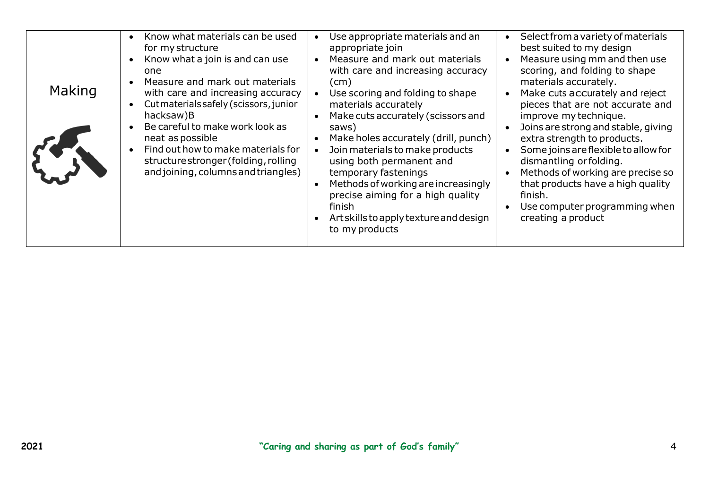| Making | Know what materials can be used<br>for my structure<br>Know what a join is and can use<br>one<br>Measure and mark out materials<br>$\bullet$<br>with care and increasing accuracy<br>Cut materials safely (scissors, junior<br>hacksaw)B<br>Be careful to make work look as<br>neat as possible<br>Find out how to make materials for<br>structure stronger (folding, rolling<br>and joining, columns and triangles) | Use appropriate materials and an<br>appropriate join<br>Measure and mark out materials<br>with care and increasing accuracy<br>(cm)<br>Use scoring and folding to shape<br>materials accurately<br>Make cuts accurately (scissors and<br>saws)<br>Make holes accurately (drill, punch)<br>Join materials to make products<br>using both permanent and<br>temporary fastenings<br>Methods of working are increasingly<br>precise aiming for a high quality<br>finish<br>Art skills to apply texture and design<br>to my products | Select from a variety of materials<br>best suited to my design<br>Measure using mm and then use<br>scoring, and folding to shape<br>materials accurately.<br>Make cuts accurately and reject<br>pieces that are not accurate and<br>improve my technique.<br>Joins are strong and stable, giving<br>extra strength to products.<br>Some joins are flexible to allow for<br>dismantling or folding.<br>Methods of working are precise so<br>that products have a high quality<br>finish.<br>Use computer programming when<br>creating a product |
|--------|----------------------------------------------------------------------------------------------------------------------------------------------------------------------------------------------------------------------------------------------------------------------------------------------------------------------------------------------------------------------------------------------------------------------|---------------------------------------------------------------------------------------------------------------------------------------------------------------------------------------------------------------------------------------------------------------------------------------------------------------------------------------------------------------------------------------------------------------------------------------------------------------------------------------------------------------------------------|------------------------------------------------------------------------------------------------------------------------------------------------------------------------------------------------------------------------------------------------------------------------------------------------------------------------------------------------------------------------------------------------------------------------------------------------------------------------------------------------------------------------------------------------|
|--------|----------------------------------------------------------------------------------------------------------------------------------------------------------------------------------------------------------------------------------------------------------------------------------------------------------------------------------------------------------------------------------------------------------------------|---------------------------------------------------------------------------------------------------------------------------------------------------------------------------------------------------------------------------------------------------------------------------------------------------------------------------------------------------------------------------------------------------------------------------------------------------------------------------------------------------------------------------------|------------------------------------------------------------------------------------------------------------------------------------------------------------------------------------------------------------------------------------------------------------------------------------------------------------------------------------------------------------------------------------------------------------------------------------------------------------------------------------------------------------------------------------------------|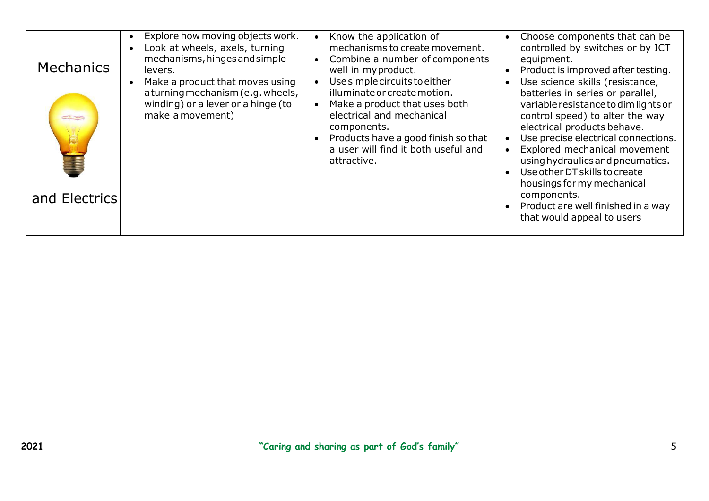| <b>Mechanics</b><br><b>COMPOS</b><br>and Electrics | Explore how moving objects work.<br>Look at wheels, axels, turning<br>mechanisms, hinges and simple<br>levers.<br>Make a product that moves using<br>a turning mechanism (e.g. wheels,<br>winding) or a lever or a hinge (to<br>make a movement) | Know the application of<br>mechanisms to create movement.<br>Combine a number of components<br>well in myproduct.<br>Use simple circuits to either<br>illuminate or create motion.<br>Make a product that uses both<br>electrical and mechanical<br>components.<br>Products have a good finish so that<br>a user will find it both useful and<br>attractive. | Choose components that can be<br>controlled by switches or by ICT<br>equipment.<br>Product is improved after testing.<br>Use science skills (resistance,<br>batteries in series or parallel,<br>variable resistance to dim lights or<br>control speed) to alter the way<br>electrical products behave.<br>Use precise electrical connections.<br>Explored mechanical movement<br>using hydraulics and pneumatics.<br>Use other DT skills to create<br>housings for my mechanical<br>components.<br>Product are well finished in a way<br>that would appeal to users |
|----------------------------------------------------|--------------------------------------------------------------------------------------------------------------------------------------------------------------------------------------------------------------------------------------------------|--------------------------------------------------------------------------------------------------------------------------------------------------------------------------------------------------------------------------------------------------------------------------------------------------------------------------------------------------------------|---------------------------------------------------------------------------------------------------------------------------------------------------------------------------------------------------------------------------------------------------------------------------------------------------------------------------------------------------------------------------------------------------------------------------------------------------------------------------------------------------------------------------------------------------------------------|
|----------------------------------------------------|--------------------------------------------------------------------------------------------------------------------------------------------------------------------------------------------------------------------------------------------------|--------------------------------------------------------------------------------------------------------------------------------------------------------------------------------------------------------------------------------------------------------------------------------------------------------------------------------------------------------------|---------------------------------------------------------------------------------------------------------------------------------------------------------------------------------------------------------------------------------------------------------------------------------------------------------------------------------------------------------------------------------------------------------------------------------------------------------------------------------------------------------------------------------------------------------------------|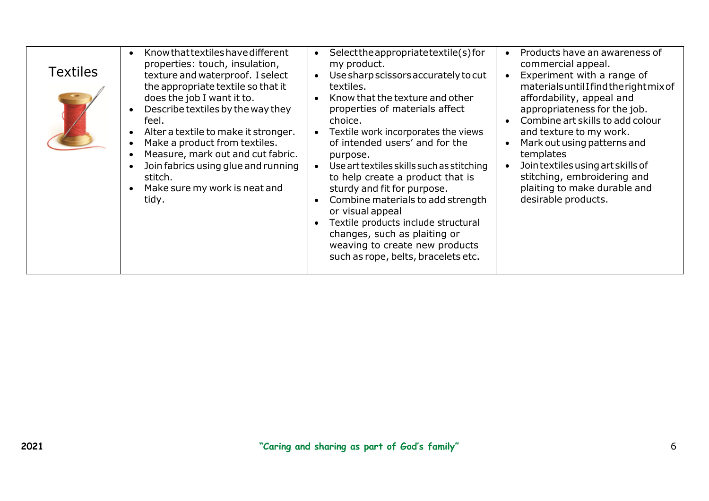| <b>Textiles</b> | Know that textiles have different<br>$\bullet$<br>properties: touch, insulation,<br>texture and waterproof. I select<br>the appropriate textile so that it<br>does the job I want it to.<br>Describe textiles by the way they<br>feel.<br>Alter a textile to make it stronger.<br>Make a product from textiles.<br>Measure, mark out and cut fabric.<br>Join fabrics using glue and running<br>stitch.<br>Make sure my work is neat and<br>tidy. | Select the appropriate textile(s) for<br>$\bullet$<br>my product.<br>Use sharp scissors accurately to cut<br>$\bullet$<br>textiles.<br>Know that the texture and other<br>$\bullet$<br>properties of materials affect<br>choice.<br>Textile work incorporates the views<br>of intended users' and for the<br>purpose.<br>Use art textiles skills such as stitching<br>to help create a product that is<br>sturdy and fit for purpose.<br>Combine materials to add strength<br>or visual appeal<br>Textile products include structural<br>changes, such as plaiting or<br>weaving to create new products<br>such as rope, belts, bracelets etc. | Products have an awareness of<br>commercial appeal.<br>Experiment with a range of<br>materials until I find the right mix of<br>affordability, appeal and<br>appropriateness for the job.<br>Combine art skills to add colour<br>$\bullet$<br>and texture to my work.<br>Mark out using patterns and<br>templates<br>Join textiles using art skills of<br>stitching, embroidering and<br>plaiting to make durable and<br>desirable products. |
|-----------------|--------------------------------------------------------------------------------------------------------------------------------------------------------------------------------------------------------------------------------------------------------------------------------------------------------------------------------------------------------------------------------------------------------------------------------------------------|------------------------------------------------------------------------------------------------------------------------------------------------------------------------------------------------------------------------------------------------------------------------------------------------------------------------------------------------------------------------------------------------------------------------------------------------------------------------------------------------------------------------------------------------------------------------------------------------------------------------------------------------|----------------------------------------------------------------------------------------------------------------------------------------------------------------------------------------------------------------------------------------------------------------------------------------------------------------------------------------------------------------------------------------------------------------------------------------------|
|-----------------|--------------------------------------------------------------------------------------------------------------------------------------------------------------------------------------------------------------------------------------------------------------------------------------------------------------------------------------------------------------------------------------------------------------------------------------------------|------------------------------------------------------------------------------------------------------------------------------------------------------------------------------------------------------------------------------------------------------------------------------------------------------------------------------------------------------------------------------------------------------------------------------------------------------------------------------------------------------------------------------------------------------------------------------------------------------------------------------------------------|----------------------------------------------------------------------------------------------------------------------------------------------------------------------------------------------------------------------------------------------------------------------------------------------------------------------------------------------------------------------------------------------------------------------------------------------|